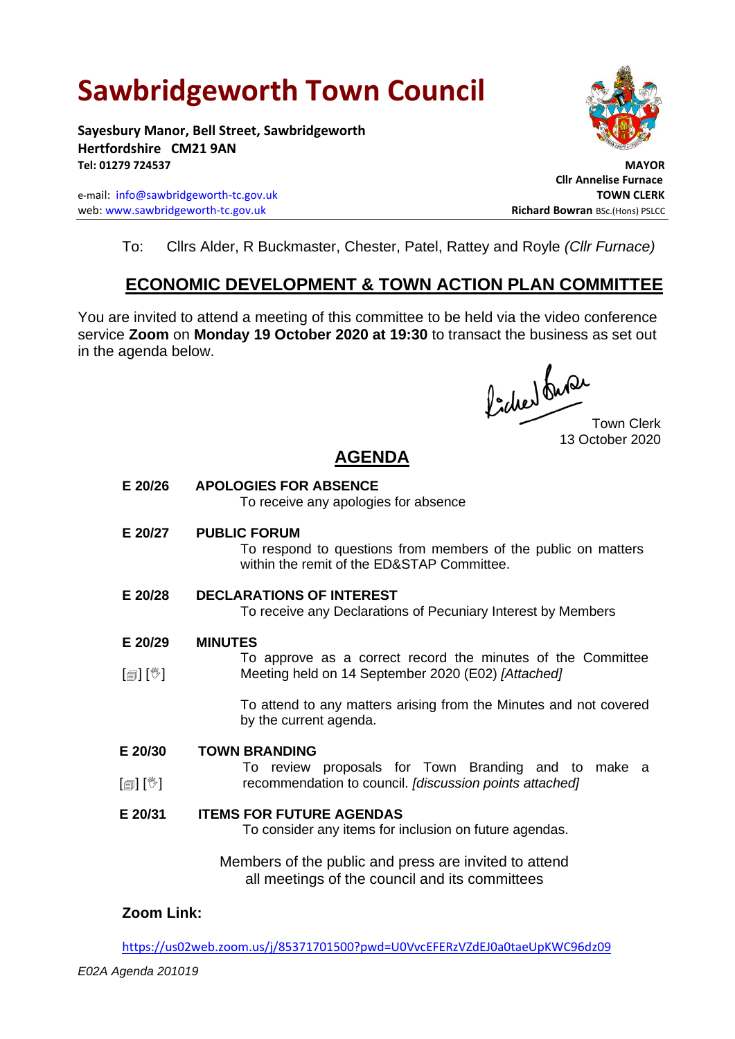# **Sawbridgeworth Town Council**

**Sayesbury Manor, Bell Street, Sawbridgeworth Hertfordshire CM21 9AN Tel: 01279 724537 MAYOR**

e-mail: [info@sawbridgeworth-tc.gov.uk](mailto:info@sawbridgeworth-tc.gov.uk) **TOWN CLERK** web: www.sawbridgeworth-tc.gov.uk<br> **Richard Bowran** BSc.(Hons) PSLCC



 **Cllr Annelise Furnace**

To: Cllrs Alder, R Buckmaster, Chester, Patel, Rattey and Royle *(Cllr Furnace)*

### **ECONOMIC DEVELOPMENT & TOWN ACTION PLAN COMMITTEE**

You are invited to attend a meeting of this committee to be held via the video conference service **Zoom** on **Monday 19 October 2020 at 19:30** to transact the business as set out in the agenda below.

focher du Que

13 October 2020

## **AGENDA**

**E 20/26 APOLOGIES FOR ABSENCE** To receive any apologies for absence **E 20/27 PUBLIC FORUM** To respond to questions from members of the public on matters within the remit of the ED&STAP Committee. **E 20/28 DECLARATIONS OF INTEREST** To receive any Declarations of Pecuniary Interest by Members **E 20/29**  $\lceil$  [ $\mathbb{I}$ ]  $\lceil \mathbb{V} \rceil$ **MINUTES** To approve as a correct record the minutes of the Committee Meeting held on 14 September 2020 (E02) *[Attached]* To attend to any matters arising from the Minutes and not covered by the current agenda. **E 20/30**  $\lceil$  [ $\mathbb{I}$ ]  $\lceil \mathbb{V} \rceil$ **TOWN BRANDING** To review proposals for Town Branding and to make a recommendation to council. *[discussion points attached]* **E 20/31 ITEMS FOR FUTURE AGENDAS** To consider any items for inclusion on future agendas. Members of the public and press are invited to attend all meetings of the council and its committees

#### **Zoom Link:**

<https://us02web.zoom.us/j/85371701500?pwd=U0VvcEFERzVZdEJ0a0taeUpKWC96dz09>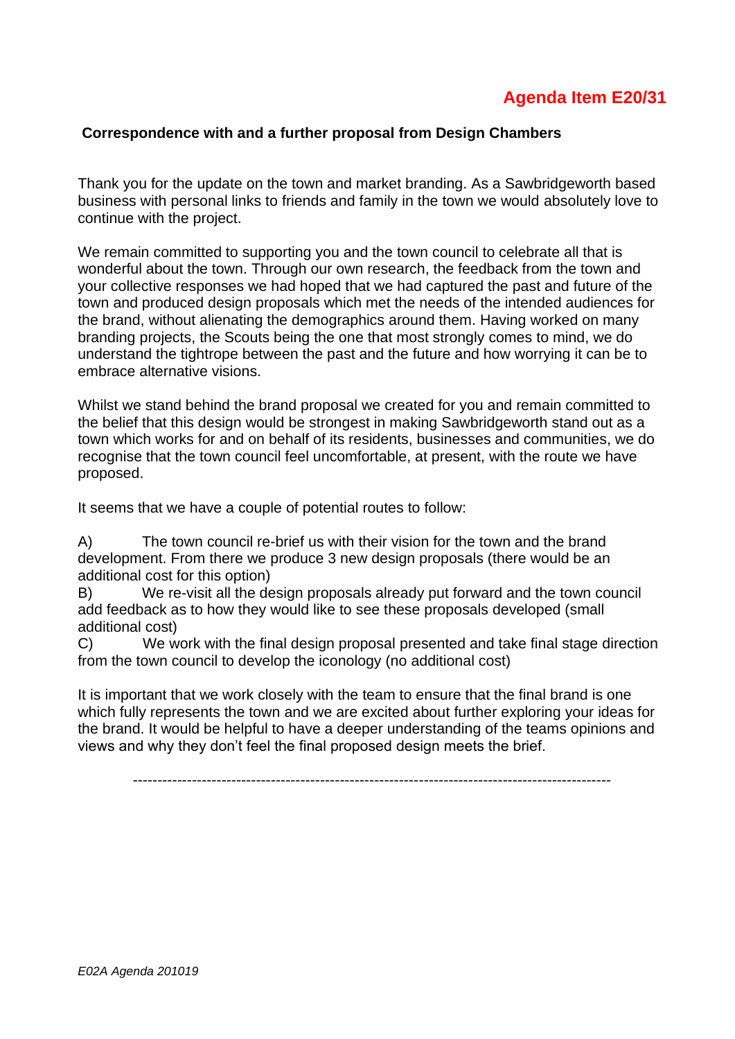## **Agenda Item E20/31**

#### **Correspondence with and a further proposal from Design Chambers**

Thank you for the update on the town and market branding. As a Sawbridgeworth based business with personal links to friends and family in the town we would absolutely love to continue with the project.

We remain committed to supporting you and the town council to celebrate all that is wonderful about the town. Through our own research, the feedback from the town and your collective responses we had hoped that we had captured the past and future of the town and produced design proposals which met the needs of the intended audiences for the brand, without alienating the demographics around them. Having worked on many branding projects, the Scouts being the one that most strongly comes to mind, we do understand the tightrope between the past and the future and how worrying it can be to embrace alternative visions.

Whilst we stand behind the brand proposal we created for you and remain committed to the belief that this design would be strongest in making Sawbridgeworth stand out as a town which works for and on behalf of its residents, businesses and communities, we do recognise that the town council feel uncomfortable, at present, with the route we have proposed.

It seems that we have a couple of potential routes to follow:

A) The town council re-brief us with their vision for the town and the brand development. From there we produce 3 new design proposals (there would be an additional cost for this option)

B) We re-visit all the design proposals already put forward and the town council add feedback as to how they would like to see these proposals developed (small additional cost)

C) We work with the final design proposal presented and take final stage direction from the town council to develop the iconology (no additional cost)

It is important that we work closely with the team to ensure that the final brand is one which fully represents the town and we are excited about further exploring your ideas for the brand. It would be helpful to have a deeper understanding of the teams opinions and views and why they don't feel the final proposed design meets the brief.

-------------------------------------------------------------------------------------------------